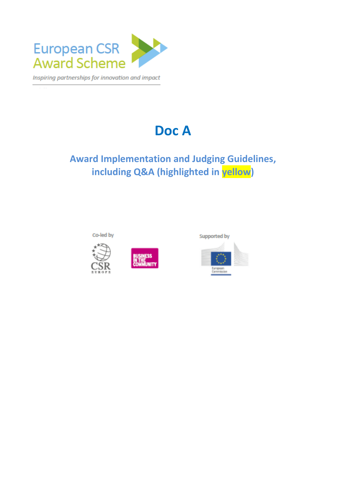

Inspiring partnerships for innovation and impact

# **Doc A**

## **Award Implementation and Judging Guidelines, including Q&A (highlighted in yellow)**

Co-led by





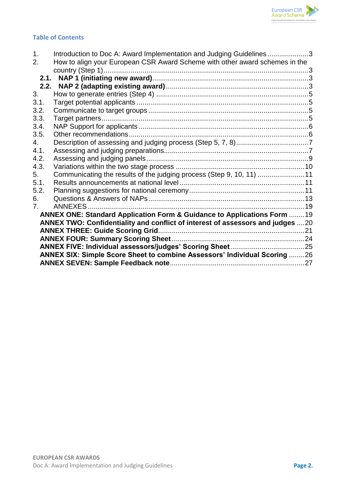

### **Table of Contents**

| 1 <sub>1</sub> | Introduction to Doc A: Award Implementation and Judging Guidelines3            |  |  |  |
|----------------|--------------------------------------------------------------------------------|--|--|--|
| 2.             | How to align your European CSR Award Scheme with other award schemes in the    |  |  |  |
|                |                                                                                |  |  |  |
|                |                                                                                |  |  |  |
|                |                                                                                |  |  |  |
| 3.             |                                                                                |  |  |  |
| 3.1.           |                                                                                |  |  |  |
| 3.2.           |                                                                                |  |  |  |
| 3.3.           |                                                                                |  |  |  |
| 3.4.           |                                                                                |  |  |  |
| 3.5.           |                                                                                |  |  |  |
| 4.             |                                                                                |  |  |  |
| 4.1.           |                                                                                |  |  |  |
| 4.2.           |                                                                                |  |  |  |
| 4.3.           |                                                                                |  |  |  |
| 5.             | Communicating the results of the judging process (Step 9, 10, 11) 11           |  |  |  |
| 5.1.           |                                                                                |  |  |  |
| 5.2.           |                                                                                |  |  |  |
| 6.             |                                                                                |  |  |  |
| $7_{-}$        |                                                                                |  |  |  |
|                | ANNEX ONE: Standard Application Form & Guidance to Applications Form  19       |  |  |  |
|                | ANNEX TWO: Confidentiality and conflict of interest of assessors and judges 20 |  |  |  |
|                | <b>ANNEX THREE: Guide Scoring Grid</b>                                         |  |  |  |
|                |                                                                                |  |  |  |
|                |                                                                                |  |  |  |
|                | ANNEX SIX: Simple Score Sheet to combine Assessors' Individual Scoring 26      |  |  |  |
|                |                                                                                |  |  |  |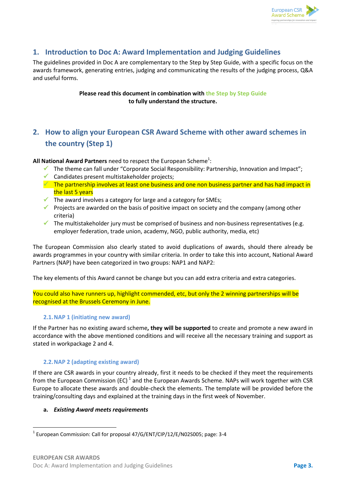

### <span id="page-2-0"></span>**1. Introduction to Doc A: Award Implementation and Judging Guidelines**

The guidelines provided in Doc A are complementary to the Step by Step Guide, with a specific focus on the awards framework, generating entries, judging and communicating the results of the judging process, Q&A and useful forms.

#### **Please read this document in combination with the Step by Step Guide to fully understand the structure.**

### <span id="page-2-1"></span>**2. How to align your European CSR Award Scheme with other award schemes in the country (Step 1)**

**All National Award Partners** need to respect the European Scheme<sup>1</sup>:

- The theme can fall under "Corporate Social Responsibility: Partnership, Innovation and Impact";
- ◆ Candidates present multistakeholder projects;
- $\checkmark$  The partnership involves at least one business and one non business partner and has had impact in the last 5 years
- $\checkmark$  The award involves a category for large and a category for SMEs;
- $\checkmark$  Projects are awarded on the basis of positive impact on society and the company (among other criteria)
- The multistakeholder jury must be comprised of business and non-business representatives (e.g. employer federation, trade union, academy, NGO, public authority, media, etc)

The European Commission also clearly stated to avoid duplications of awards, should there already be awards programmes in your country with similar criteria. In order to take this into account, National Award Partners (NAP) have been categorized in two groups: NAP1 and NAP2:

The key elements of this Award cannot be change but you can add extra criteria and extra categories.

You could also have runners up, highlight commended, etc, but only the 2 winning partnerships will be recognised at the Brussels Ceremony in June.

#### **2.1.NAP 1 (initiating new award)**

<span id="page-2-2"></span>If the Partner has no existing award scheme**, they will be supported** to create and promote a new award in accordance with the above mentioned conditions and will receive all the necessary training and support as stated in workpackage 2 and 4.

#### **2.2.NAP 2 (adapting existing award)**

<span id="page-2-3"></span>If there are CSR awards in your country already, first it needs to be checked if they meet the requirements from the European Commission (EC)<sup>1</sup> and the European Awards Scheme. NAPs will work together with CSR Europe to allocate these awards and double-check the elements. The template will be provided before the training/consulting days and explained at the training days in the first week of November.

#### **a.** *Existing Award meets requirements*

1

<sup>&</sup>lt;sup>1</sup> European Commission: Call for proposal 47/G/ENT/CIP/12/E/N02S005; page: 3-4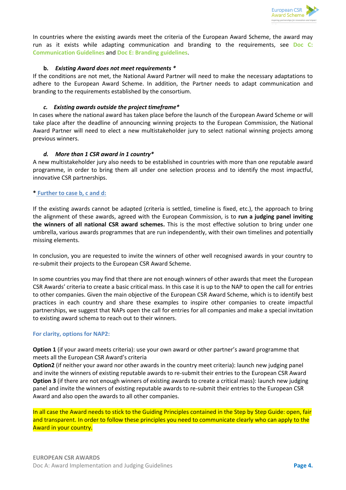

In countries where the existing awards meet the criteria of the European Award Scheme, the award may run as it exists while adapting communication and branding to the requirements, see **Doc C: Communication Guidelines** and **Doc E: Branding guidelines**.

#### **b.** *Existing Award does not meet requirements \**

If the conditions are not met, the National Award Partner will need to make the necessary adaptations to adhere to the European Award Scheme. In addition, the Partner needs to adapt communication and branding to the requirements established by the consortium.

#### *c. Existing awards outside the project timeframe\**

In cases where the national award has taken place before the launch of the European Award Scheme or will take place after the deadline of announcing winning projects to the European Commission, the National Award Partner will need to elect a new multistakeholder jury to select national winning projects among previous winners.

#### *d. More than 1 CSR award in 1 country\**

A new multistakeholder jury also needs to be established in countries with more than one reputable award programme, in order to bring them all under one selection process and to identify the most impactful, innovative CSR partnerships.

#### **\* Further to case b, c and d:**

If the existing awards cannot be adapted (criteria is settled, timeline is fixed, etc.), the approach to bring the alignment of these awards, agreed with the European Commission, is to **run a judging panel inviting the winners of all national CSR award schemes.** This is the most effective solution to bring under one umbrella, various awards programmes that are run independently, with their own timelines and potentially missing elements.

In conclusion, you are requested to invite the winners of other well recognised awards in your country to re-submit their projects to the European CSR Award Scheme.

In some countries you may find that there are not enough winners of other awards that meet the European CSR Awards' criteria to create a basic critical mass. In this case it is up to the NAP to open the call for entries to other companies. Given the main objective of the European CSR Award Scheme, which is to identify best practices in each country and share these examples to inspire other companies to create impactful partnerships, we suggest that NAPs open the call for entries for all companies and make a special invitation to existing award schema to reach out to their winners.

#### **For clarity, options for NAP2:**

**Option 1** (if your award meets criteria): use your own award or other partner's award programme that meets all the European CSR Award's criteria

**Option2** (if neither your award nor other awards in the country meet criteria): launch new judging panel and invite the winners of existing reputable awards to re-submit their entries to the European CSR Award **Option 3** (if there are not enough winners of existing awards to create a critical mass): launch new judging panel and invite the winners of existing reputable awards to re-submit their entries to the European CSR Award and also open the awards to all other companies.

In all case the Award needs to stick to the Guiding Principles contained in the Step by Step Guide: open, fair and transparent. In order to follow these principles you need to communicate clearly who can apply to the Award in your country.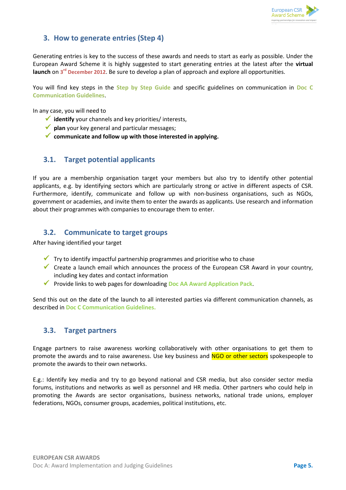

### <span id="page-4-0"></span>**3. How to generate entries (Step 4)**

Generating entries is key to the success of these awards and needs to start as early as possible. Under the European Award Scheme it is highly suggested to start generating entries at the latest after the **virtual launch** on **3 rd December 2012**. Be sure to develop a plan of approach and explore all opportunities.

You will find key steps in the **Step by Step Guide** and specific guidelines on communication in **Doc C Communication Guidelines**.

In any case, you will need to

- **identify** your channels and key priorities/ interests,
- **v** plan your key general and particular messages;
- <span id="page-4-1"></span>**communicate and follow up with those interested in applying.**

### **3.1. Target potential applicants**

If you are a membership organisation target your members but also try to identify other potential applicants, e.g. by identifying sectors which are particularly strong or active in different aspects of CSR. Furthermore, identify, communicate and follow up with non-business organisations, such as NGOs, government or academies, and invite them to enter the awards as applicants. Use research and information about their programmes with companies to encourage them to enter.

### <span id="page-4-2"></span>**3.2. Communicate to target groups**

After having identified your target

- $\checkmark$  Try to identify impactful partnership programmes and prioritise who to chase
- $\checkmark$  Create a launch email which announces the process of the European CSR Award in your country, including key dates and contact information
- Provide links to web pages for downloading **Doc AA Award Application Pack**.

<span id="page-4-3"></span>Send this out on the date of the launch to all interested parties via different communication channels, as described in **Doc C Communication Guidelines.**

### **3.3. Target partners**

Engage partners to raise awareness working collaboratively with other organisations to get them to promote the awards and to raise awareness. Use key business and NGO or other sectors spokespeople to promote the awards to their own networks.

E.g.: Identify key media and try to go beyond national and CSR media, but also consider sector media forums, institutions and networks as well as personnel and HR media. Other partners who could help in promoting the Awards are sector organisations, business networks, national trade unions, employer federations, NGOs, consumer groups, academies, political institutions, etc.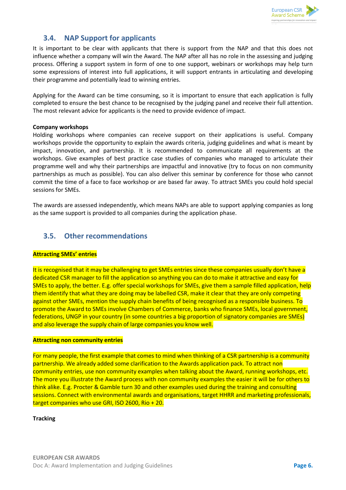

### <span id="page-5-0"></span>**3.4. NAP Support for applicants**

It is important to be clear with applicants that there is support from the NAP and that this does not influence whether a company will win the Award. The NAP after all has no role in the assessing and judging process. Offering a support system in form of one to one support, webinars or workshops may help turn some expressions of interest into full applications, it will support entrants in articulating and developing their programme and potentially lead to winning entries.

Applying for the Award can be time consuming, so it is important to ensure that each application is fully completed to ensure the best chance to be recognised by the judging panel and receive their full attention. The most relevant advice for applicants is the need to provide evidence of impact.

#### **Company workshops**

Holding workshops where companies can receive support on their applications is useful. Company workshops provide the opportunity to explain the awards criteria, judging guidelines and what is meant by impact, innovation, and partnership. It is recommended to communicate all requirements at the workshops. Give examples of best practice case studies of companies who managed to articulate their programme well and why their partnerships are impactful and innovative (try to focus on non community partnerships as much as possible). You can also deliver this seminar by conference for those who cannot commit the time of a face to face workshop or are based far away. To attract SMEs you could hold special sessions for SMEs.

<span id="page-5-1"></span>The awards are assessed independently, which means NAPs are able to support applying companies as long as the same support is provided to all companies during the application phase.

### **3.5. Other recommendations**

#### **Attracting SMEs' entries**

It is recognised that it may be challenging to get SMEs entries since these companies usually don't have a dedicated CSR manager to fill the application so anything you can do to make it attractive and easy for SMEs to apply, the better. E.g. offer special workshops for SMEs, give them a sample filled application, help them identify that what they are doing may be labelled CSR, make it clear that they are only competing against other SMEs, mention the supply chain benefits of being recognised as a responsible business. To promote the Award to SMEs involve Chambers of Commerce, banks who finance SMEs, local government, federations, UNGP in your country (in some countries a big proportion of signatory companies are SMEs) and also leverage the supply chain of large companies you know well.

#### **Attracting non community entries**

For many people, the first example that comes to mind when thinking of a CSR partnership is a community partnership. We already added some clarification to the Awards application pack. To attract non community entries, use non community examples when talking about the Award, running workshops, etc. The more you illustrate the Award process with non community examples the easier it will be for others to think alike. E.g. Procter & Gamble turn 30 and other examples used during the training and consulting sessions. Connect with environmental awards and organisations, target HHRR and marketing professionals, target companies who use GRI, ISO 2600, Rio + 20.

#### **Tracking**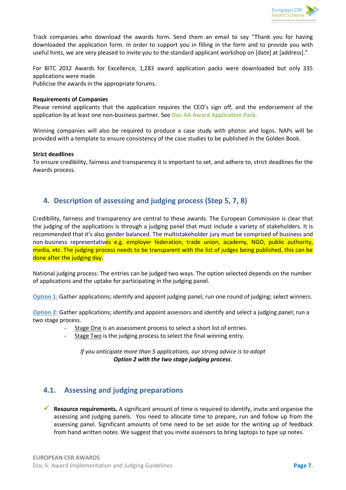

Track companies who download the awards form. Send them an email to say "Thank you for having downloaded the application form. In order to support you in filling in the form and to provide you with useful hints, we are very pleased to invite you to the standard applicant workshop on [date] at [address]."

For BITC 2012 Awards for Excellence, 1,283 award application packs were downloaded but only 335 applications were made.

Publicise the awards in the appropriate forums.

#### **Requirements of Companies**

Please remind applicants that the application requires the CEO's sign off, and the endorsement of the application by at least one non-business partner. See **Doc AA Award Application Pack.**

Winning companies will also be required to produce a case study with photos and logos. NAPs will be provided with a template to ensure consistency of the case studies to be published in the Golden Book.

#### **Strict deadlines**

To ensure credibility, fairness and transparency it is important to set, and adhere to, strict deadlines for the Awards process.

### <span id="page-6-0"></span>**4. Description of assessing and judging process (Step 5, 7, 8)**

Credibility, fairness and transparency are central to these awards. The European Commission is clear that the judging of the applications is through a judging panel that must include a variety of stakeholders. It is recommended that it's also gender balanced. The multistakeholder jury must be comprised of business and non-business representatives e.g. employer federation, trade union, academy, NGO, public authority, media, etc. The judging process needs to be transparent with the list of judges being published, this can be done after the judging day.

National judging process: The entries can be judged two ways. The option selected depends on the number of applications and the uptake for participating in the judging panel.

**Option 1:** Gather applications; identify and appoint judging panel; run one round of judging; select winners.

**Option 2:** Gather applications; identify and appoint assessors and identify and select a judging panel; run a two stage process.

- Stage One is an assessment process to select a short list of entries.
- Stage Two is the judging process to select the final winning entry.

*If you anticipate more than 5 applications, our strong advice is to adopt Option 2 with the two stage judging process.*

### <span id="page-6-1"></span>**4.1. Assessing and judging preparations**

 **Resource requirements.** A significant amount of time is required to identify, invite and organise the assessing and judging panels. You need to allocate time to prepare, run and follow up from the assessing panel. Significant amounts of time need to be set aside for the writing up of feedback from hand written notes. We suggest that you invite assessors to bring laptops to type up notes.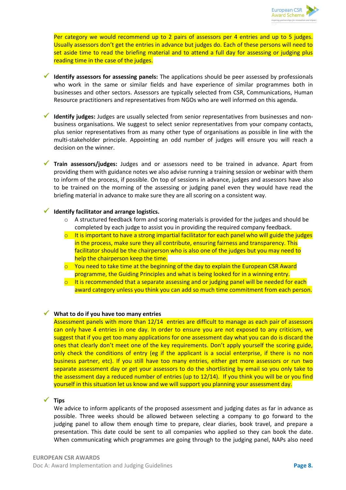

Per category we would recommend up to 2 pairs of assessors per 4 entries and up to 5 judges. Usually assessors don't get the entries in advance but judges do. Each of these persons will need to set aside time to read the briefing material and to attend a full day for assessing or judging plus reading time in the case of the judges.

- **Identify assessors for assessing panels:** The applications should be peer assessed by professionals who work in the same or similar fields and have experience of similar programmes both in businesses and other sectors. Assessors are typically selected from CSR, Communications, Human Resource practitioners and representatives from NGOs who are well informed on this agenda.
- **Identify judges:** Judges are usually selected from senior representatives from businesses and nonbusiness organisations. We suggest to select senior representatives from your company contacts, plus senior representatives from as many other type of organisations as possible in line with the multi-stakeholder principle. Appointing an odd number of judges will ensure you will reach a decision on the winner.

 **Train assessors/judges:** Judges and or assessors need to be trained in advance. Apart from providing them with guidance notes we also advise running a training session or webinar with them to inform of the process, if possible. On top of sessions in advance, judges and assessors have also to be trained on the morning of the assessing or judging panel even they would have read the briefing material in advance to make sure they are all scoring on a consistent way.

#### **Identify facilitator and arrange logistics.**

- o A structured feedback form and scoring materials is provided for the judges and should be completed by each judge to assist you in providing the required company feedback.
- It is important to have a strong impartial facilitator for each panel who will guide the judges in the process, make sure they all contribute, ensuring fairness and transparency. This facilitator should be the chairperson who is also one of the judges but you may need to help the chairperson keep the time.
- $\circ$  You need to take time at the beginning of the day to explain the European CSR Award programme, the Guiding Principles and what is being looked for in a winning entry.
- $\circ$  It is recommended that a separate assessing and or judging panel will be needed for each award category unless you think you can add so much time commitment from each person.

#### **What to do if you have too many entries**

Assessment panels with more than 12/14 entries are difficult to manage as each pair of assessors can only have 4 entries in one day. In order to ensure you are not exposed to any criticism, we suggest that if you get too many applications for one assessment day what you can do is discard the ones that clearly don't meet one of the key requirements. Don't apply yourself the scoring guide, only check the conditions of entry (eg if the applicant is a social enterprise, if there is no non business partner, etc). If you still have too many entries, either get more assessors or run two separate assessment day or get your assessors to do the shortlisting by email so you only take to the assessment day a reduced number of entries (up to 12/14). If you think you will be or you find yourself in this situation let us know and we will support you planning your assessment day.

#### **Tips**

We advice to inform applicants of the proposed assessment and judging dates as far in advance as possible. Three weeks should be allowed between selecting a company to go forward to the judging panel to allow them enough time to prepare, clear diaries, book travel, and prepare a presentation. This date could be sent to all companies who applied so they can book the date. When communicating which programmes are going through to the judging panel, NAPs also need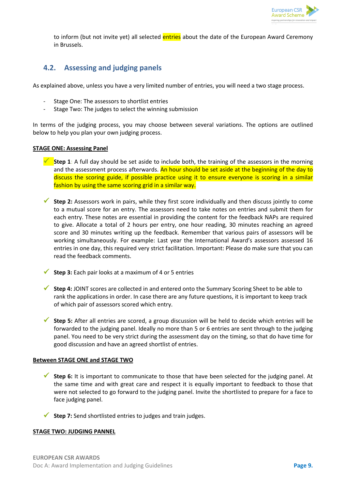

to inform (but not invite yet) all selected entries about the date of the European Award Ceremony in Brussels.

### <span id="page-8-0"></span>**4.2. Assessing and judging panels**

As explained above, unless you have a very limited number of entries, you will need a two stage process.

- Stage One: The assessors to shortlist entries
- Stage Two: The judges to select the winning submission

In terms of the judging process, you may choose between several variations. The options are outlined below to help you plan your own judging process.

#### **STAGE ONE: Assessing Panel**

- **Step 1**: A full day should be set aside to include both, the training of the assessors in the morning and the assessment process afterwards. An hour should be set aside at the beginning of the day to discuss the scoring guide, if possible practice using it to ensure everyone is scoring in a similar fashion by using the same scoring grid in a similar way.
- **Step 2:** Assessors work in pairs, while they first score individually and then discuss jointly to come to a mutual score for an entry. The assessors need to take notes on entries and submit them for each entry. These notes are essential in providing the content for the feedback NAPs are required to give. Allocate a total of 2 hours per entry, one hour reading, 30 minutes reaching an agreed score and 30 minutes writing up the feedback. Remember that various pairs of assessors will be working simultaneously. For example: Last year the International Award's assessors assessed 16 entries in one day, this required very strict facilitation. Important: Please do make sure that you can read the feedback comments.
- **Step 3:** Each pair looks at a maximum of 4 or 5 entries
- **Step 4:** JOINT scores are collected in and entered onto the Summary Scoring Sheet to be able to rank the applications in order. In case there are any future questions, it is important to keep track of which pair of assessors scored which entry.
- **Step 5:** After all entries are scored, a group discussion will be held to decide which entries will be forwarded to the judging panel. Ideally no more than 5 or 6 entries are sent through to the judging panel. You need to be very strict during the assessment day on the timing, so that do have time for good discussion and have an agreed shortlist of entries.

#### **Between STAGE ONE and STAGE TWO**

- ◆ Step 6: It is important to communicate to those that have been selected for the judging panel. At the same time and with great care and respect it is equally important to feedback to those that were not selected to go forward to the judging panel. Invite the shortlisted to prepare for a face to face judging panel.
	- **Step 7:** Send shortlisted entries to judges and train judges.

#### **STAGE TWO: JUDGING PANNEL**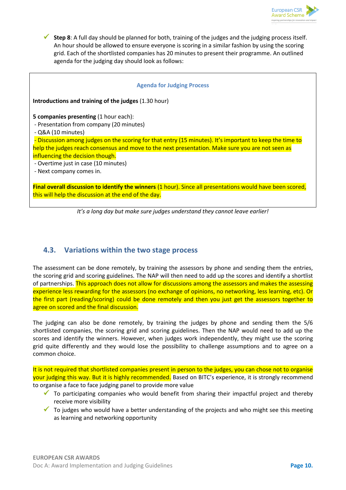

 **Step 8**: A full day should be planned for both, training of the judges and the judging process itself. An hour should be allowed to ensure everyone is scoring in a similar fashion by using the scoring grid. Each of the shortlisted companies has 20 minutes to present their programme. An outlined agenda for the judging day should look as follows:

| <b>Agenda for Judging Process</b>                                                                                                                                                                                                                                                                                                                                                                                                      |  |  |  |
|----------------------------------------------------------------------------------------------------------------------------------------------------------------------------------------------------------------------------------------------------------------------------------------------------------------------------------------------------------------------------------------------------------------------------------------|--|--|--|
| Introductions and training of the judges (1.30 hour)                                                                                                                                                                                                                                                                                                                                                                                   |  |  |  |
| <b>5 companies presenting (1 hour each):</b><br>- Presentation from company (20 minutes)<br>- Q&A (10 minutes)<br>- Discussion among judges on the scoring for that entry (15 minutes). It's important to keep the time to<br>help the judges reach consensus and move to the next presentation. Make sure you are not seen as<br>influencing the decision though.<br>- Overtime just in case (10 minutes)<br>- Next company comes in. |  |  |  |
| Final overall discussion to identify the winners (1 hour). Since all presentations would have been scored,<br>this will help the discussion at the end of the day.                                                                                                                                                                                                                                                                     |  |  |  |

*It's a long day but make sure judges understand they cannot leave earlier!*

### <span id="page-9-0"></span>**4.3. Variations within the two stage process**

The assessment can be done remotely, by training the assessors by phone and sending them the entries, the scoring grid and scoring guidelines. The NAP will then need to add up the scores and identify a shortlist of partnerships. This approach does not allow for discussions among the assessors and makes the assessing experience less rewarding for the assessors (no exchange of opinions, no networking, less learning, etc). Or the first part (reading/scoring) could be done remotely and then you just get the assessors together to agree on scored and the final discussion.

The judging can also be done remotely, by training the judges by phone and sending them the 5/6 shortlisted companies, the scoring grid and scoring guidelines. Then the NAP would need to add up the scores and identify the winners. However, when judges work independently, they might use the scoring grid quite differently and they would lose the possibility to challenge assumptions and to agree on a common choice.

It is not required that shortlisted companies present in person to the judges, you can chose not to organise your judging this way. But it is highly recommended. Based on BITC's experience, it is strongly recommend to organise a face to face judging panel to provide more value

- $\checkmark$  To participating companies who would benefit from sharing their impactful project and thereby receive more visibility
- $\checkmark$  To judges who would have a better understanding of the projects and who might see this meeting as learning and networking opportunity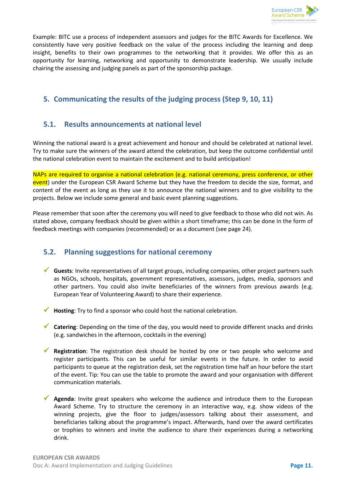

Example: BITC use a process of independent assessors and judges for the BITC Awards for Excellence. We consistently have very positive feedback on the value of the process including the learning and deep insight, benefits to their own programmes to the networking that it provides. We offer this as an opportunity for learning, networking and opportunity to demonstrate leadership. We usually include chairing the assessing and judging panels as part of the sponsorship package.

### <span id="page-10-1"></span><span id="page-10-0"></span>**5. Communicating the results of the judging process (Step 9, 10, 11)**

### **5.1. Results announcements at national level**

Winning the national award is a great achievement and honour and should be celebrated at national level. Try to make sure the winners of the award attend the celebration, but keep the outcome confidential until the national celebration event to maintain the excitement and to build anticipation!

NAPs are required to organise a national celebration (e.g. national ceremony, press conference, or other event) under the European CSR Award Scheme but they have the freedom to decide the size, format, and content of the event as long as they use it to announce the national winners and to give visibility to the projects. Below we include some general and basic event planning suggestions.

Please remember that soon after the ceremony you will need to give feedback to those who did not win. As stated above, company feedback should be given within a short timeframe; this can be done in the form of feedback meetings with companies (recommended) or as a document (see page 24).

### <span id="page-10-2"></span>**5.2. Planning suggestions for national ceremony**

- **Guests**: Invite representatives of all target groups, including companies, other project partners such as NGOs, schools, hospitals, government representatives, assessors, judges, media, sponsors and other partners. You could also invite beneficiaries of the winners from previous awards (e.g. European Year of Volunteering Award) to share their experience.
- **Hosting**: Try to find a sponsor who could host the national celebration.
- **Catering**: Depending on the time of the day, you would need to provide different snacks and drinks (e.g. sandwiches in the afternoon, cocktails in the evening)
- **Registration**: The registration desk should be hosted by one or two people who welcome and register participants. This can be useful for similar events in the future. In order to avoid participants to queue at the registration desk, set the registration time half an hour before the start of the event. Tip: You can use the table to promote the award and your organisation with different communication materials.
- **Agenda**: Invite great speakers who welcome the audience and introduce them to the European Award Scheme. Try to structure the ceremony in an interactive way, e.g. show videos of the winning projects, give the floor to judges/assessors talking about their assessment, and beneficiaries talking about the programme's impact. Afterwards, hand over the award certificates or trophies to winners and invite the audience to share their experiences during a networking drink.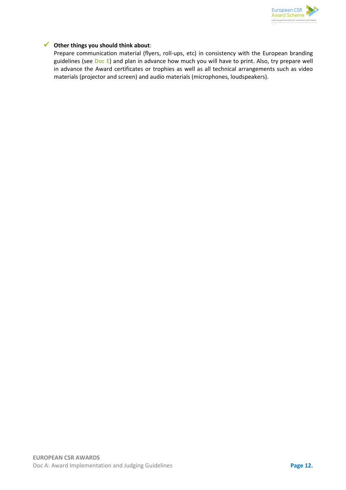

#### **Other things you should think about**:

Prepare communication material (flyers, roll-ups, etc) in consistency with the European branding guidelines (see **Doc E**) and plan in advance how much you will have to print. Also, try prepare well in advance the Award certificates or trophies as well as all technical arrangements such as video materials (projector and screen) and audio materials (microphones, loudspeakers).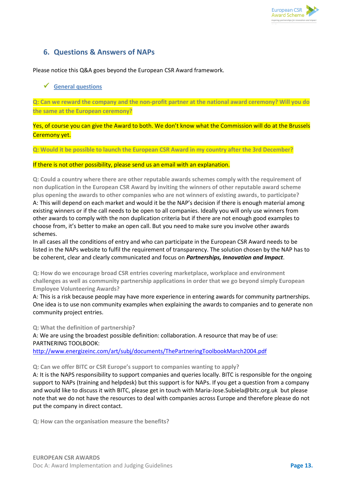

### <span id="page-12-0"></span>**6. Questions & Answers of NAPs**

Please notice this Q&A goes beyond the European CSR Award framework.

#### **General questions**

**Q: Can we reward the company and the non-profit partner at the national award ceremony? Will you do the same at the European ceremony?**

Yes, of course you can give the Award to both. We don't know what the Commission will do at the Brussels Ceremony yet.

**Q: Would it be possible to launch the European CSR Award in my country after the 3rd December?**

#### If there is not other possibility, please send us an email with an explanation.

**Q: Could a country where there are other reputable awards schemes comply with the requirement of non duplication in the European CSR Award by inviting the winners of other reputable award scheme plus opening the awards to other companies who are not winners of existing awards, to participate?**  A: This will depend on each market and would it be the NAP's decision if there is enough material among existing winners or if the call needs to be open to all companies. Ideally you will only use winners from other awards to comply with the non duplication criteria but if there are not enough good examples to choose from, it's better to make an open call. But you need to make sure you involve other awards schemes.

In all cases all the conditions of entry and who can participate in the European CSR Award needs to be listed in the NAPs website to fulfil the requirement of transparency. The solution chosen by the NAP has to be coherent, clear and clearly communicated and focus on *Partnerships, Innovation and Impact*.

**Q: How do we encourage broad CSR entries covering marketplace, workplace and environment challenges as well as community partnership applications in order that we go beyond simply European Employee Volunteering Awards?**

A: This is a risk because people may have more experience in entering awards for community partnerships. One idea is to use non community examples when explaining the awards to companies and to generate non community project entries.

**Q: What the definition of partnership?**

A: We are using the broadest possible definition: collaboration. A resource that may be of use: PARTNERING TOOLBOOK:

<http://www.energizeinc.com/art/subj/documents/ThePartneringToolbookMarch2004.pdf>

#### **Q: Can we offer BITC or CSR Europe's support to companies wanting to apply?**

A: It is the NAPS responsibility to support companies and queries locally. BITC is responsible for the ongoing support to NAPs (training and helpdesk) but this support is for NAPs. If you get a question from a company and would like to discuss it with BITC, please get in touch with [Maria-Jose.Subiela@bitc.org.uk](mailto:Maria-Jose.Subiela@bitc.org.uk) but please note that we do not have the resources to deal with companies across Europe and therefore please do not put the company in direct contact.

**Q: How can the organisation measure the benefits?**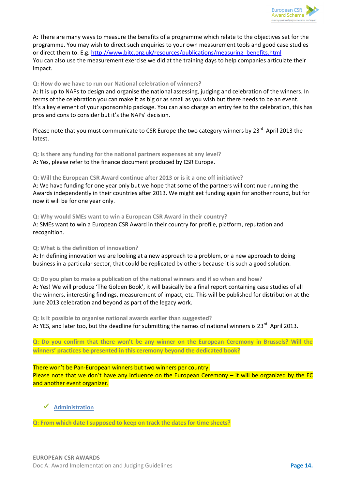

A: There are many ways to measure the benefits of a programme which relate to the objectives set for the programme. You may wish to direct such enquiries to your own measurement tools and good case studies or direct them to. E.g. [http://www.bitc.org.uk/resources/publications/measuring\\_benefits.html](http://www.bitc.org.uk/resources/publications/measuring_benefits.html) You can also use the measurement exercise we did at the training days to help companies articulate their impact.

#### **Q: How do we have to run our National celebration of winners?**

A: It is up to NAPs to design and organise the national assessing, judging and celebration of the winners. In terms of the celebration you can make it as big or as small as you wish but there needs to be an event. It's a key element of your sponsorship package. You can also charge an entry fee to the celebration, this has pros and cons to consider but it's the NAPs' decision.

Please note that you must communicate to CSR Europe the two category winners by 23<sup>rd</sup> April 2013 the latest.

**Q: Is there any funding for the national partners expenses at any level?**  A: Yes, please refer to the finance document produced by CSR Europe.

#### **Q: Will the European CSR Award continue after 2013 or is it a one off initiative?**

A: We have funding for one year only but we hope that some of the partners will continue running the Awards independently in their countries after 2013. We might get funding again for another round, but for now it will be for one year only.

#### **Q: Why would SMEs want to win a European CSR Award in their country?**  A: SMEs want to win a European CSR Award in their country for profile, platform, reputation and recognition.

**Q: What is the definition of innovation?** 

A: In defining innovation we are looking at a new approach to a problem, or a new approach to doing business in a particular sector, that could be replicated by others because it is such a good solution.

#### **Q: Do you plan to make a publication of the national winners and if so when and how?**

A: Yes! We will produce 'The Golden Book', it will basically be a final report containing case studies of all the winners, interesting findings, measurement of impact, etc. This will be published for distribution at the June 2013 celebration and beyond as part of the legacy work.

**Q: Is it possible to organise national awards earlier than suggested?** A: YES, and later too, but the deadline for submitting the names of national winners is 23<sup>rd</sup> April 2013.

**Q: Do you confirm that there won't be any winner on the European Ceremony in Brussels? Will the winners' practices be presented in this ceremony beyond the dedicated book?**

There won't be Pan-European winners but two winners per country. Please note that we don't have any influence on the European Ceremony  $-$  it will be organized by the EC and another event organizer.



**Q: From which date I supposed to keep on track the dates for time sheets?**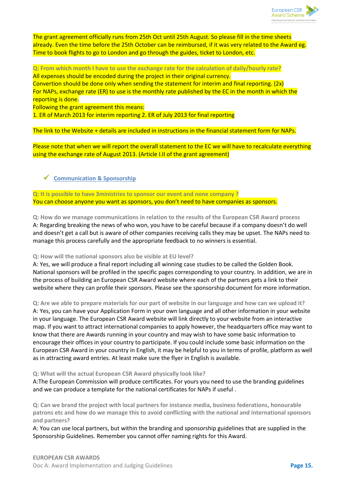

The grant agreement officially runs from 25th Oct until 25th August. So please fill in the time sheets already. Even the time before the 25th October can be reimbursed, if it was very related to the Award eg. Time to book flights to go to London and go through the guides, ticket to London, etc.

**Q: From which month I have to use the exchange rate for the calculation of daily/hourly rate?** All expenses should be encoded during the project in their original currency. Convertion should be done only when sending the statement for interim and final reporting. (2x) For NAPs, exchange rate (ER) to use is the monthly rate published by the EC in the month in which the reporting is done.

Following the grant agreement this means:

1. ER of March 2013 for interim reporting 2. ER of July 2013 for final reporting

The link to the Website + details are included in instructions in the financial statement form for NAPs.

Please note that when we will report the overall statement to the EC we will have to recalculate everything using the exchange rate of August 2013. (Article I.II of the grant agreement)

#### **Communication & Sponsorship**

**Q: It is possible to have 3ministries to sponsor our event and none company ?** You can choose anyone you want as sponsors, you don't need to have companies as sponsors.

**Q: How do we manage communications in relation to the results of the European CSR Award process**  A: Regarding breaking the news of who won, you have to be careful because if a company doesn't do well and doesn't get a call but is aware of other companies receiving calls they may be upset. The NAPs need to manage this process carefully and the appropriate feedback to no winners is essential.

#### **Q: How will the national sponsors also be visible at EU level?**

A: Yes, we will produce a final report including all winning case studies to be called the Golden Book. National sponsors will be profiled in the specific pages corresponding to your country. In addition, we are in the process of building an European CSR Award website where each of the partners gets a link to their website where they can profile their sponsors. Please see the sponsorship document for more information.

**Q: Are we able to prepare materials for our part of website in our language and how can we upload it?** A: Yes, you can have your Application Form in your own language and all other information in your website in your language. The European CSR Award website will link directly to your website from an interactive map. If you want to attract international companies to apply however, the headquarters office may want to know that there are Awards running in your country and may wish to have some basic information to encourage their offices in your country to participate. If you could include some basic information on the European CSR Award in your country in English, it may be helpful to you in terms of profile, platform as well as in attracting award entries. At least make sure the flyer in English is available.

#### **Q: What will the actual European CSR Award physically look like?**

A:The European Commission will produce certificates. For yours you need to use the branding guidelines and we can produce a template for the national certificates for NAPs if useful .

**Q: Can we brand the project with local partners for instance media, business federations, honourable patrons etc and how do we manage this to avoid conflicting with the national and international sponsors and partners?**

A: You can use local partners, but within the branding and sponsorship guidelines that are supplied in the Sponsorship Guidelines. Remember you cannot offer naming rights for this Award.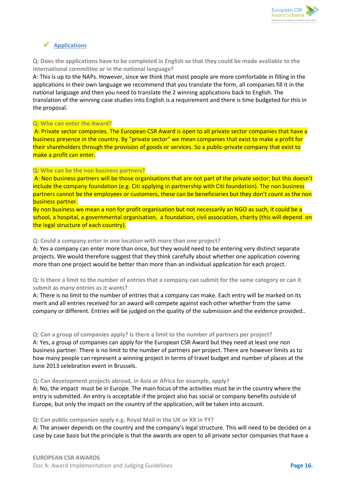

### **Applications**

**Q: Does the applications have to be completed in English so that they could be made available to the international committee or in the national language?**

A: This is up to the NAPs. However, since we think that most people are more comfortable in filling in the applications in their own language we recommend that you translate the form, all companies fill it in the national language and then you need to translate the 2 winning applications back to English. The translation of the winning case studies into English is a requirement and there is time budgeted for this in the proposal.

#### **Q: Who can enter the Award?**

A: Private sector companies. The European CSR Award is open to all private sector companies that have a business presence in the country. By "private sector" we mean companies that exist to make a profit for their shareholders through the provision of goods or services. So a public-private company that exist to make a profit can enter.

#### **Q: Who can be the non business partners?**

A: Non business partners will be those organisations that are not part of the private sector; but this doesn't include the company foundation (e.g. Citi applying in partnership with Citi foundation). The non business partners cannot be the employees or customers, these can be beneficiaries but they don't count as the non business partner.

By non business we mean a non for profit organisation but not necessarily an NGO as such, it could be a school, a hospital, a governmental organisation, a foundation, civil association, charity (this will depend on the legal structure of each country).

#### **Q: Could a company enter in one location with more than one project?**

A: Yes a company can enter more than once, but they would need to be entering very distinct separate projects. We would therefore suggest that they think carefully about whether one application covering more than one project would be better than more than an individual application for each project.

**Q: Is there a limit to the number of entries that a company can submit for the same category or can it submit as many entries as it wants?**

A: There is no limit to the number of entries that a company can make. Each entry will be marked on its merit and all entries received for an award will compete against each other whether from the same company or different. Entries will be judged on the quality of the submission and the evidence provided..

**Q: Can a group of companies apply? Is there a limit to the number of partners per project?**  A: Yes, a group of companies can apply for the European CSR Award but they need at least one non business partner. There is no limit to the number of partners per project. There are however limits as to how many people can represent a winning project in terms of travel budget and number of places at the June 2013 celebration event in Brussels.

#### **Q: Can development projects abroad, in Asia or Africa for example, apply?**

A: No, the impact must be in Europe. The main focus of the activities must be in the country where the entry is submitted. An entry is acceptable if the project also has social or company benefits outside of Europe, but only the impact on the country of the application, will be taken into account.

#### **Q: Can public companies apply e.g. Royal Mail in the UK or XX in YY?**

A: The answer depends on the country and the company's legal structure. This will need to be decided on a case by case basis but the principle is that the awards are open to all private sector companies that have a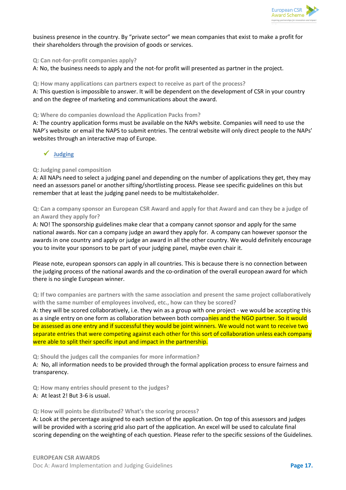

business presence in the country. By "private sector" we mean companies that exist to make a profit for their shareholders through the provision of goods or services.

**Q: Can not-for-profit companies apply?** 

A: No, the business needs to apply and the not-for profit will presented as partner in the project.

**Q: How many applications can partners expect to receive as part of the process?**

A: This question is impossible to answer. It will be dependent on the development of CSR in your country and on the degree of marketing and communications about the award.

#### **Q: Where do companies download the Application Packs from?**

A: The country application forms must be available on the NAPs website. Companies will need to use the NAP's website or email the NAPS to submit entries. The central website will only direct people to the NAPs' websites through an interactive map of Europe.

### **Judging**

#### **Q: Judging panel composition**

A: All NAPs need to select a judging panel and depending on the number of applications they get, they may need an assessors panel or another sifting/shortlisting process. Please see specific guidelines on this but remember that at least the judging panel needs to be multistakeholder.

**Q: Can a company sponsor an European CSR Award and apply for that Award and can they be a judge of an Award they apply for?**

A: NO! The sponsorship guidelines make clear that a company cannot sponsor and apply for the same national awards. Nor can a company judge an award they apply for. A company can however sponsor the awards in one country and apply or judge an award in all the other country. We would definitely encourage you to invite your sponsors to be part of your judging panel, maybe even chair it.

Please note, european sponsors can apply in all countries. This is because there is no connection between the judging process of the national awards and the co-ordination of the overall european award for which there is no single European winner.

**Q: If two companies are partners with the same association and present the same project collaboratively with the same number of employees involved, etc., how can they be scored?**

A: they will be scored collaboratively, i.e. they win as a group with one project - we would be accepting this as a single entry on one form as collaboration between both companies and the NGO partner. So it would be assessed as one entry and if successful they would be joint winners. We would not want to receive two separate entries that were competing against each other for this sort of collaboration unless each company were able to split their specific input and impact in the partnership.

**Q: Should the judges call the companies for more information?**

A: No, all information needs to be provided through the formal application process to ensure fairness and transparency.

**Q: How many entries should present to the judges?**

A: At least 2! But 3-6 is usual.

**Q: How will points be distributed? What's the scoring process?**

A: Look at the percentage assigned to each section of the application. On top of this assessors and judges will be provided with a scoring grid also part of the application. An excel will be used to calculate final scoring depending on the weighting of each question. Please refer to the specific sessions of the Guidelines.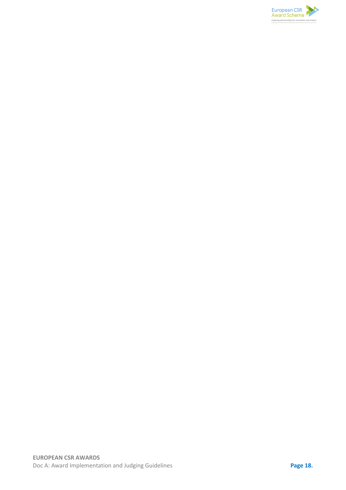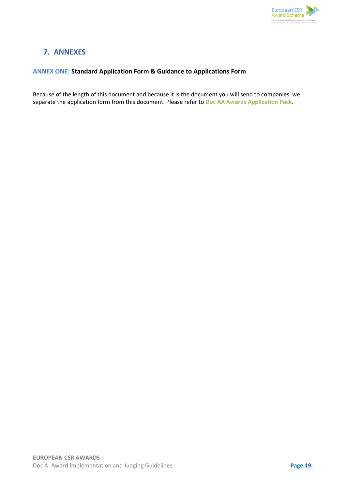

### <span id="page-18-0"></span>**7. ANNEXES**

#### <span id="page-18-1"></span>**ANNEX ONE: Standard Application Form & Guidance to Applications Form**

Because of the length of this document and because it is the document you will send to companies, we separate the application form from this document. Please refer to **Doc AA Awards Application Pack**.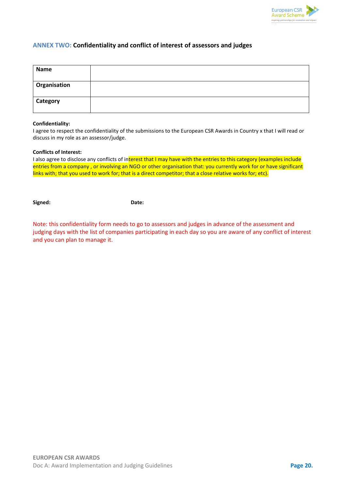

#### <span id="page-19-0"></span>**ANNEX TWO: Confidentiality and conflict of interest of assessors and judges**

| Name         |  |
|--------------|--|
| Organisation |  |
| Category     |  |

#### **Confidentiality:**

I agree to respect the confidentiality of the submissions to the European CSR Awards in Country x that I will read or discuss in my role as an assessor/judge.

#### **Conflicts of Interest:**

I also agree to disclose any conflicts of interest that I may have with the entries to this category (examples include entries from a company , or involving an NGO or other organisation that: you currently work for or have significant links with; that you used to work for; that is a direct competitor; that a close relative works for; etc).

#### **Signed: Date:**

Note: this confidentiality form needs to go to assessors and judges in advance of the assessment and judging days with the list of companies participating in each day so you are aware of any conflict of interest and you can plan to manage it.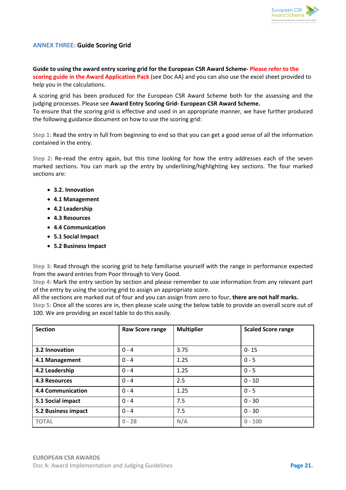

#### <span id="page-20-0"></span>**ANNEX THREE: Guide Scoring Grid**

**Guide to using the award entry scoring grid for the European CSR Award Scheme- Please refer to the scoring guide in the Award Application Pack** (see Doc AA) and you can also use the excel sheet provided to help you in the calculations.

A scoring grid has been produced for the European CSR Award Scheme both for the assessing and the judging processes. Please see **Award Entry Scoring Grid- European CSR Award Scheme.**  To ensure that the scoring grid is effective and used in an appropriate manner, we have further produced the following guidance document on how to use the scoring grid:

**Step 1:** Read the entry in full from beginning to end so that you can get a good sense of all the information contained in the entry.

**Step 2:** Re-read the entry again, but this time looking for how the entry addresses each of the seven marked sections. You can mark up the entry by underlining/highlighting key sections. The four marked sections are:

- **3.2. Innovation**
- **4.1 Management**
- **4.2 Leadership**
- **4.3 Resources**
- **4.4 Communication**
- **5.1 Social Impact**
- **5.2 Business Impact**

**Step 3:** Read through the scoring grid to help familiarise yourself with the range in performance expected from the award entries from Poor through to Very Good.

**Step 4:** Mark the entry section by section and please remember to use information from any relevant part of the entry by using the scoring grid to assign an appropriate score.

All the sections are marked out of four and you can assign from zero to four, **there are not half marks.** 

**Step 5:** Once all the scores are in, then please scale using the below table to provide an overall score out of 100. We are providing an excel table to do this easily.

| <b>Section</b>           | Raw Score range | <b>Multiplier</b> | <b>Scaled Score range</b> |
|--------------------------|-----------------|-------------------|---------------------------|
|                          |                 |                   |                           |
| 3.2 Innovation           | $0 - 4$         | 3.75              | $0 - 15$                  |
| 4.1 Management           | $0 - 4$         | 1.25              | $0 - 5$                   |
| 4.2 Leadership           | $0 - 4$         | 1.25              | $0 - 5$                   |
| 4.3 Resources            | $0 - 4$         | 2.5               | $0 - 10$                  |
| <b>4.4 Communication</b> | $0 - 4$         | 1.25              | $0 - 5$                   |
| 5.1 Social impact        | $0 - 4$         | 7.5               | $0 - 30$                  |
| 5.2 Business impact      | $0 - 4$         | 7.5               | $0 - 30$                  |
| <b>TOTAL</b>             | $0 - 28$        | N/A               | $0 - 100$                 |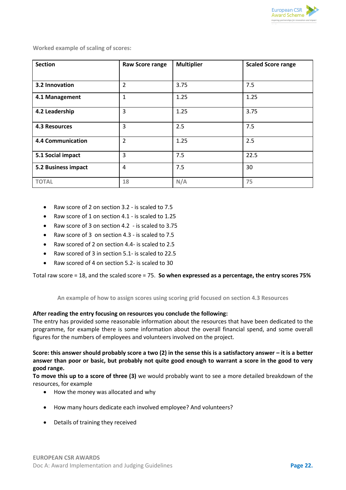

| <b>Section</b>             | Raw Score range | <b>Multiplier</b> | <b>Scaled Score range</b> |
|----------------------------|-----------------|-------------------|---------------------------|
| 3.2 Innovation             | 2               | 3.75              | 7.5                       |
| 4.1 Management             | $\mathbf{1}$    | 1.25              | 1.25                      |
| 4.2 Leadership             | $\overline{3}$  | 1.25              | 3.75                      |
| <b>4.3 Resources</b>       | 3               | 2.5               | 7.5                       |
| <b>4.4 Communication</b>   | $\overline{2}$  | 1.25              | 2.5                       |
| 5.1 Social impact          | 3               | 7.5               | 22.5                      |
| <b>5.2 Business impact</b> | 4               | 7.5               | 30                        |
| <b>TOTAL</b>               | 18              | N/A               | 75                        |

**Worked example of scaling of scores:**

- Raw score of 2 on section 3.2 is scaled to 7.5
- Raw score of 1 on section 4.1 is scaled to 1.25
- Raw score of 3 on section 4.2 is scaled to 3.75
- Raw score of 3 on section 4.3 is scaled to 7.5
- Raw scored of 2 on section 4.4- is scaled to 2.5
- Raw scored of 3 in section 5.1- is scaled to 22.5
- Raw scored of 4 on section 5.2- is scaled to 30

Total raw score = 18, and the scaled score = 75. **So when expressed as a percentage, the entry scores 75%**

**An example of how to assign scores using scoring grid focused on section 4.3 Resources**

#### **After reading the entry focusing on resources you conclude the following:**

The entry has provided some reasonable information about the resources that have been dedicated to the programme, for example there is some information about the overall financial spend, and some overall figures for the numbers of employees and volunteers involved on the project.

**Score: this answer should probably score a two (2) in the sense this is a satisfactory answer – it is a better answer than poor or basic, but probably not quite good enough to warrant a score in the good to very good range.**

**To move this up to a score of three (3)** we would probably want to see a more detailed breakdown of the resources, for example

- How the money was allocated and why
- How many hours dedicate each involved employee? And volunteers?
- Details of training they received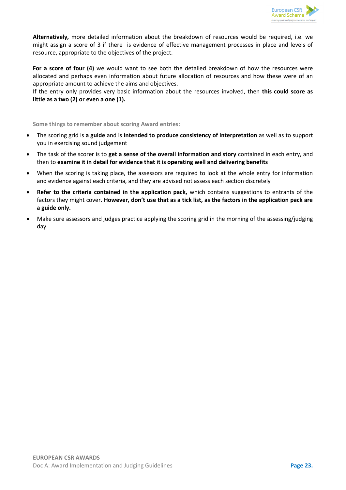

**Alternatively,** more detailed information about the breakdown of resources would be required, i.e. we might assign a score of 3 if there is evidence of effective management processes in place and levels of resource, appropriate to the objectives of the project.

**For a score of four (4)** we would want to see both the detailed breakdown of how the resources were allocated and perhaps even information about future allocation of resources and how these were of an appropriate amount to achieve the aims and objectives.

If the entry only provides very basic information about the resources involved, then **this could score as little as a two (2) or even a one (1).**

**Some things to remember about scoring Award entries:**

- The scoring grid is **a guide** and is **intended to produce consistency of interpretation** as well as to support you in exercising sound judgement
- The task of the scorer is to **get a sense of the overall information and story** contained in each entry, and then to **examine it in detail for evidence that it is operating well and delivering benefits**
- When the scoring is taking place, the assessors are required to look at the whole entry for information and evidence against each criteria, and they are advised not assess each section discretely
- **Refer to the criteria contained in the application pack,** which contains suggestions to entrants of the factors they might cover. **However, don't use that as a tick list, as the factors in the application pack are a guide only.**
- Make sure assessors and judges practice applying the scoring grid in the morning of the assessing/judging day.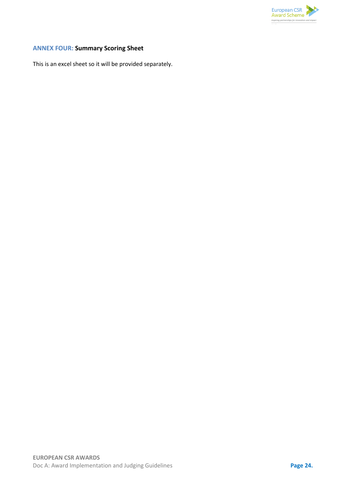

### <span id="page-23-0"></span>**ANNEX FOUR: Summary Scoring Sheet**

This is an excel sheet so it will be provided separately.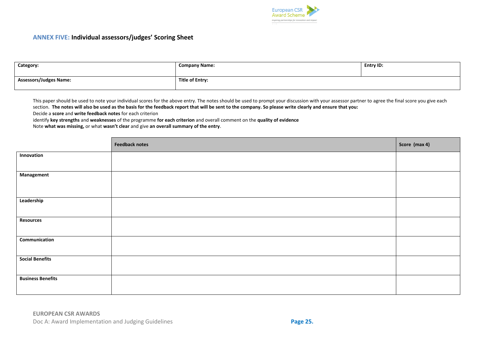

#### **ANNEX FIVE: Individual assessors/judges' Scoring Sheet**

| Category:              | <b>Company Name:</b> | Entry ID: |  |
|------------------------|----------------------|-----------|--|
| Assessors/Judges Name: | Title of Entry:      |           |  |

This paper should be used to note your individual scores for the above entry. The notes should be used to prompt your discussion with your assessor partner to agree the final score you give each section. **The notes will also be used as the basis for the feedback report that will be sent to the company. So please write clearly and ensure that you:**

Decide a **score** and **write feedback notes** for each criterion

identify **key strengths** and **weaknesses** of the programme **for each criterion** and overall comment on the **quality of evidence**

Note **what was missing,** or what **wasn't clear** and give **an overall summary of the entry**.

<span id="page-24-0"></span>

|                          | <b>Feedback notes</b> | Score (max 4) |
|--------------------------|-----------------------|---------------|
| Innovation               |                       |               |
| Management               |                       |               |
|                          |                       |               |
| Leadership               |                       |               |
| <b>Resources</b>         |                       |               |
| Communication            |                       |               |
| <b>Social Benefits</b>   |                       |               |
| <b>Business Benefits</b> |                       |               |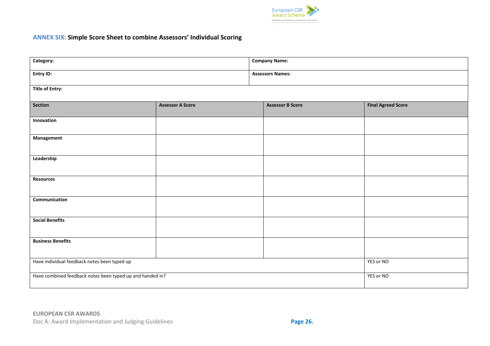

### **ANNEX SIX: Simple Score Sheet to combine Assessors' Individual Scoring**

<span id="page-25-0"></span>

| Category:                                                 |                         |  | <b>Company Name:</b>    |                           |  |
|-----------------------------------------------------------|-------------------------|--|-------------------------|---------------------------|--|
| Entry ID:                                                 |                         |  | <b>Assessors Names:</b> |                           |  |
| <b>Title of Entry:</b>                                    |                         |  |                         |                           |  |
| Section                                                   | <b>Assessor A Score</b> |  | <b>Assessor B Score</b> | <b>Final Agreed Score</b> |  |
| Innovation                                                |                         |  |                         |                           |  |
| Management                                                |                         |  |                         |                           |  |
| Leadership                                                |                         |  |                         |                           |  |
| <b>Resources</b>                                          |                         |  |                         |                           |  |
| Communication                                             |                         |  |                         |                           |  |
| <b>Social Benefits</b>                                    |                         |  |                         |                           |  |
| <b>Business Benefits</b>                                  |                         |  |                         |                           |  |
| Have individual feedback notes been typed up              |                         |  |                         | YES or NO                 |  |
| Have combined feedback notes been typed up and handed in? |                         |  | YES or NO               |                           |  |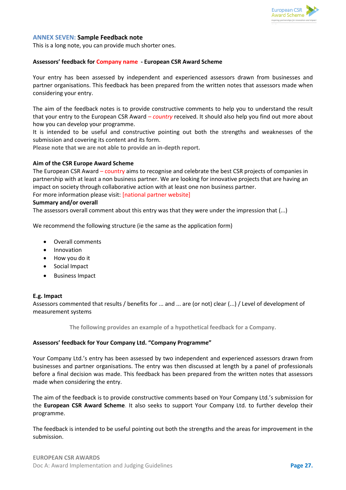

#### <span id="page-26-0"></span>**ANNEX SEVEN: Sample Feedback note**

This is a long note, you can provide much shorter ones.

#### **Assessors' feedback for Company name - European CSR Award Scheme**

Your entry has been assessed by independent and experienced assessors drawn from businesses and partner organisations. This feedback has been prepared from the written notes that assessors made when considering your entry.

The aim of the feedback notes is to provide constructive comments to help you to understand the result that your entry to the European CSR Award *– country* received. It should also help you find out more about how you can develop your programme.

It is intended to be useful and constructive pointing out both the strengths and weaknesses of the submission and covering its content and its form.

**Please note that we are not able to provide an in-depth report.**

#### **Aim of the CSR Europe Award Scheme**

The European CSR Award – country aims to recognise and celebrate the best CSR projects of companies in partnership with at least a non business partner. We are looking for innovative projects that are having an impact on society through collaborative action with at least one non business partner.

For more information please visit: [national partner website]

#### **Summary and/or overall**

The assessors overall comment about this entry was that they were under the impression that (...)

We recommend the following structure (ie the same as the application form)

- Overall comments
- Innovation
- How you do it
- Social Impact
- Business Impact

#### **E.g. Impact**

Assessors commented that results / benefits for ... and ... are (or not) clear (...) / Level of development of measurement systems

**The following provides an example of a hypothetical feedback for a Company.**

#### **Assessors' feedback for Your Company Ltd. "Company Programme"**

Your Company Ltd.'s entry has been assessed by two independent and experienced assessors drawn from businesses and partner organisations. The entry was then discussed at length by a panel of professionals before a final decision was made. This feedback has been prepared from the written notes that assessors made when considering the entry.

The aim of the feedback is to provide constructive comments based on Your Company Ltd.'s submission for the **European CSR Award Scheme**. It also seeks to support Your Company Ltd. to further develop their programme.

The feedback is intended to be useful pointing out both the strengths and the areas for improvement in the submission.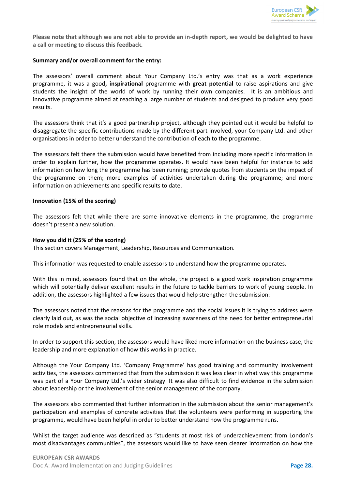

**Please note that although we are not able to provide an in-depth report, we would be delighted to have a call or meeting to discuss this feedback.** 

#### **Summary and/or overall comment for the entry:**

The assessors' overall comment about Your Company Ltd.'s entry was that as a work experience programme, it was a good**, inspirational** programme with **great potential** to raise aspirations and give students the insight of the world of work by running their own companies. It is an ambitious and innovative programme aimed at reaching a large number of students and designed to produce very good results.

The assessors think that it's a good partnership project, although they pointed out it would be helpful to disaggregate the specific contributions made by the different part involved, your Company Ltd. and other organisations in order to better understand the contribution of each to the programme.

The assessors felt there the submission would have benefited from including more specific information in order to explain further, how the programme operates. It would have been helpful for instance to add information on how long the programme has been running; provide quotes from students on the impact of the programme on them; more examples of activities undertaken during the programme; and more information on achievements and specific results to date.

#### **Innovation (15% of the scoring)**

The assessors felt that while there are some innovative elements in the programme, the programme doesn't present a new solution.

#### **How you did it (25% of the scoring)**

This section covers Management, Leadership, Resources and Communication.

This information was requested to enable assessors to understand how the programme operates.

With this in mind, assessors found that on the whole, the project is a good work inspiration programme which will potentially deliver excellent results in the future to tackle barriers to work of young people. In addition, the assessors highlighted a few issues that would help strengthen the submission:

The assessors noted that the reasons for the programme and the social issues it is trying to address were clearly laid out, as was the social objective of increasing awareness of the need for better entrepreneurial role models and entrepreneurial skills.

In order to support this section, the assessors would have liked more information on the business case, the leadership and more explanation of how this works in practice.

Although the Your Company Ltd. 'Company Programme' has good training and community involvement activities, the assessors commented that from the submission it was less clear in what way this programme was part of a Your Company Ltd.'s wider strategy. It was also difficult to find evidence in the submission about leadership or the involvement of the senior management of the company.

The assessors also commented that further information in the submission about the senior management's participation and examples of concrete activities that the volunteers were performing in supporting the programme, would have been helpful in order to better understand how the programme runs.

Whilst the target audience was described as "students at most risk of underachievement from London's most disadvantages communities", the assessors would like to have seen clearer information on how the